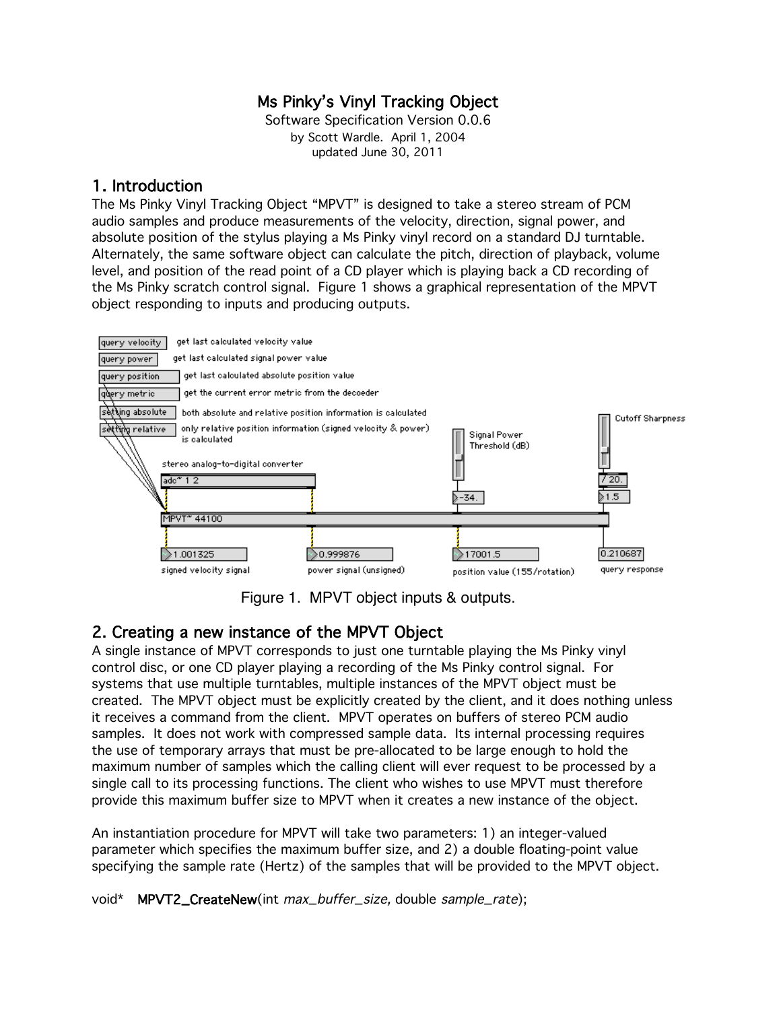# Ms Pinky's Vinyl Tracking Object

Software Specification Version 0.0.6 by Scott Wardle. April 1, 2004 updated June 30, 2011

### 1. Introduction

The Ms Pinky Vinyl Tracking Object "MPVT" is designed to take a stereo stream of PCM audio samples and produce measurements of the velocity, direction, signal power, and absolute position of the stylus playing a Ms Pinky vinyl record on a standard DJ turntable. Alternately, the same software object can calculate the pitch, direction of playback, volume level, and position of the read point of a CD player which is playing back a CD recording of the Ms Pinky scratch control signal. Figure 1 shows a graphical representation of the MPVT object responding to inputs and producing outputs.



Figure 1. MPVT object inputs & outputs.

# 2. Creating a new instance of the MPVT Object

A single instance of MPVT corresponds to just one turntable playing the Ms Pinky vinyl control disc, or one CD player playing a recording of the Ms Pinky control signal. For systems that use multiple turntables, multiple instances of the MPVT object must be created. The MPVT object must be explicitly created by the client, and it does nothing unless it receives a command from the client. MPVT operates on buffers of stereo PCM audio samples. It does not work with compressed sample data. Its internal processing requires the use of temporary arrays that must be pre-allocated to be large enough to hold the maximum number of samples which the calling client will ever request to be processed by a single call to its processing functions. The client who wishes to use MPVT must therefore provide this maximum buffer size to MPVT when it creates a new instance of the object.

An instantiation procedure for MPVT will take two parameters: 1) an integer-valued parameter which specifies the maximum buffer size, and 2) a double floating-point value specifying the sample rate (Hertz) of the samples that will be provided to the MPVT object.

void\* MPVT2\_CreateNew(int max\_buffer\_size, double sample\_rate);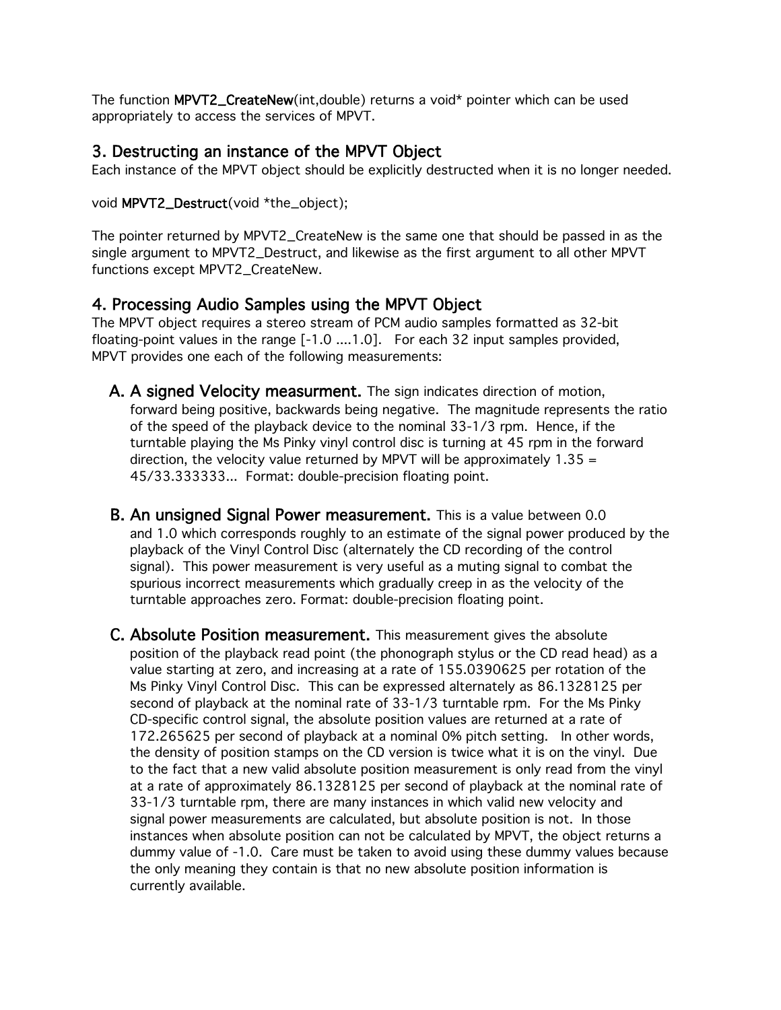The function MPVT2\_CreateNew(int,double) returns a void\* pointer which can be used appropriately to access the services of MPVT.

### 3. Destructing an instance of the MPVT Object

Each instance of the MPVT object should be explicitly destructed when it is no longer needed.

void MPVT2\_Destruct(void \*the\_object);

The pointer returned by MPVT2\_CreateNew is the same one that should be passed in as the single argument to MPVT2\_Destruct, and likewise as the first argument to all other MPVT functions except MPVT2\_CreateNew.

# 4. Processing Audio Samples using the MPVT Object

The MPVT object requires a stereo stream of PCM audio samples formatted as 32-bit floating-point values in the range [-1.0 ....1.0]. For each 32 input samples provided, MPVT provides one each of the following measurements:

- A. A signed Velocity measurment. The sign indicates direction of motion, forward being positive, backwards being negative. The magnitude represents the ratio of the speed of the playback device to the nominal 33-1/3 rpm. Hence, if the turntable playing the Ms Pinky vinyl control disc is turning at 45 rpm in the forward direction, the velocity value returned by MPVT will be approximately  $1.35 =$ 45/33.333333... Format: double-precision floating point.
- B. An unsigned Signal Power measurement. This is a value between 0.0 and 1.0 which corresponds roughly to an estimate of the signal power produced by the playback of the Vinyl Control Disc (alternately the CD recording of the control signal). This power measurement is very useful as a muting signal to combat the spurious incorrect measurements which gradually creep in as the velocity of the turntable approaches zero. Format: double-precision floating point.
- C. Absolute Position measurement. This measurement gives the absolute position of the playback read point (the phonograph stylus or the CD read head) as a value starting at zero, and increasing at a rate of 155.0390625 per rotation of the Ms Pinky Vinyl Control Disc. This can be expressed alternately as 86.1328125 per second of playback at the nominal rate of 33-1/3 turntable rpm. For the Ms Pinky CD-specific control signal, the absolute position values are returned at a rate of 172.265625 per second of playback at a nominal 0% pitch setting. In other words, the density of position stamps on the CD version is twice what it is on the vinyl. Due to the fact that a new valid absolute position measurement is only read from the vinyl at a rate of approximately 86.1328125 per second of playback at the nominal rate of 33-1/3 turntable rpm, there are many instances in which valid new velocity and signal power measurements are calculated, but absolute position is not. In those instances when absolute position can not be calculated by MPVT, the object returns a dummy value of -1.0. Care must be taken to avoid using these dummy values because the only meaning they contain is that no new absolute position information is currently available.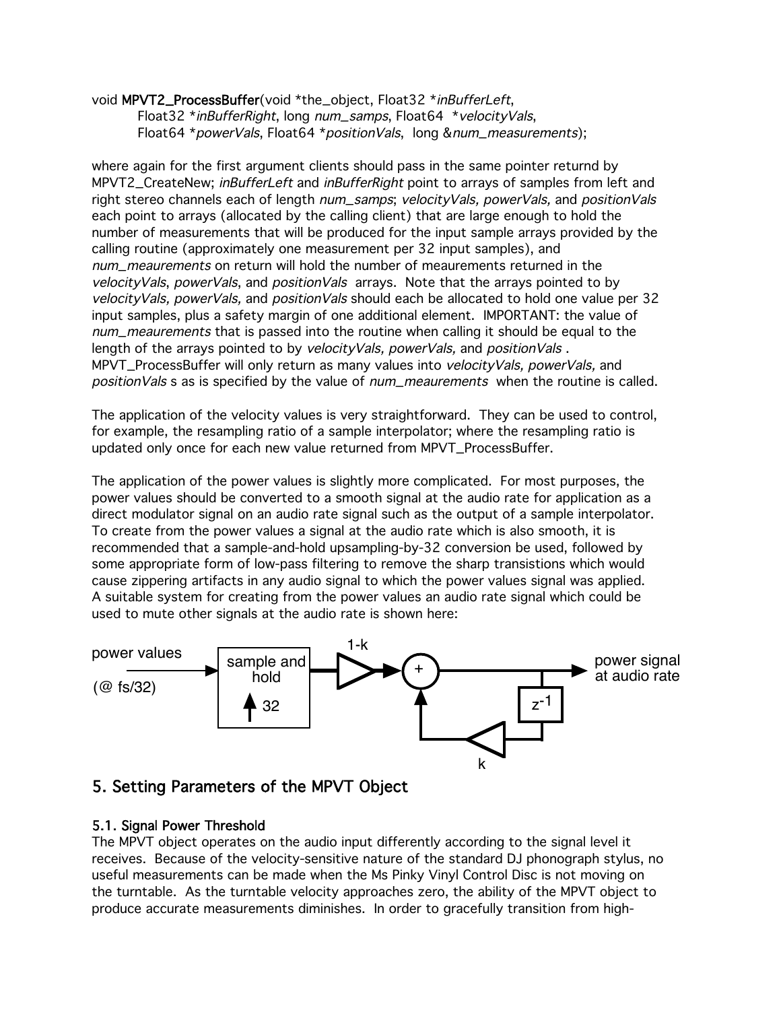#### void MPVT2\_ProcessBuffer(void \*the\_object, Float32 \*inBufferLeft, Float32 \*inBufferRight, long num\_samps, Float64 \*velocityVals, Float64 \*powerVals, Float64 \*positionVals, long &num\_measurements);

where again for the first argument clients should pass in the same pointer returnd by MPVT2\_CreateNew; inBufferLeft and inBufferRight point to arrays of samples from left and right stereo channels each of length num\_samps; velocityVals, powerVals, and positionVals each point to arrays (allocated by the calling client) that are large enough to hold the number of measurements that will be produced for the input sample arrays provided by the calling routine (approximately one measurement per 32 input samples), and num\_meaurements on return will hold the number of meaurements returned in the  $velocityVals, powerVals, and positionVals, arrays. Note that the arrays pointed to by$ velocityVals, powerVals, and positionVals should each be allocated to hold one value per 32 input samples, plus a safety margin of one additional element. IMPORTANT: the value of num\_meaurements that is passed into the routine when calling it should be equal to the length of the arrays pointed to by velocityVals, powerVals, and positionVals. MPVT\_ProcessBuffer will only return as many values into velocityVals, powerVals, and positionVals s as is specified by the value of num\_meaurements when the routine is called.

The application of the velocity values is very straightforward. They can be used to control, for example, the resampling ratio of a sample interpolator; where the resampling ratio is updated only once for each new value returned from MPVT\_ProcessBuffer.

The application of the power values is slightly more complicated. For most purposes, the power values should be converted to a smooth signal at the audio rate for application as a direct modulator signal on an audio rate signal such as the output of a sample interpolator. To create from the power values a signal at the audio rate which is also smooth, it is recommended that a sample-and-hold upsampling-by-32 conversion be used, followed by some appropriate form of low-pass filtering to remove the sharp transistions which would cause zippering artifacts in any audio signal to which the power values signal was applied. A suitable system for creating from the power values an audio rate signal which could be used to mute other signals at the audio rate is shown here:



# 5. Setting Parameters of the MPVT Object

### 5.1. Signal Power Threshold

The MPVT object operates on the audio input differently according to the signal level it receives. Because of the velocity-sensitive nature of the standard DJ phonograph stylus, no useful measurements can be made when the Ms Pinky Vinyl Control Disc is not moving on the turntable. As the turntable velocity approaches zero, the ability of the MPVT object to produce accurate measurements diminishes. In order to gracefully transition from high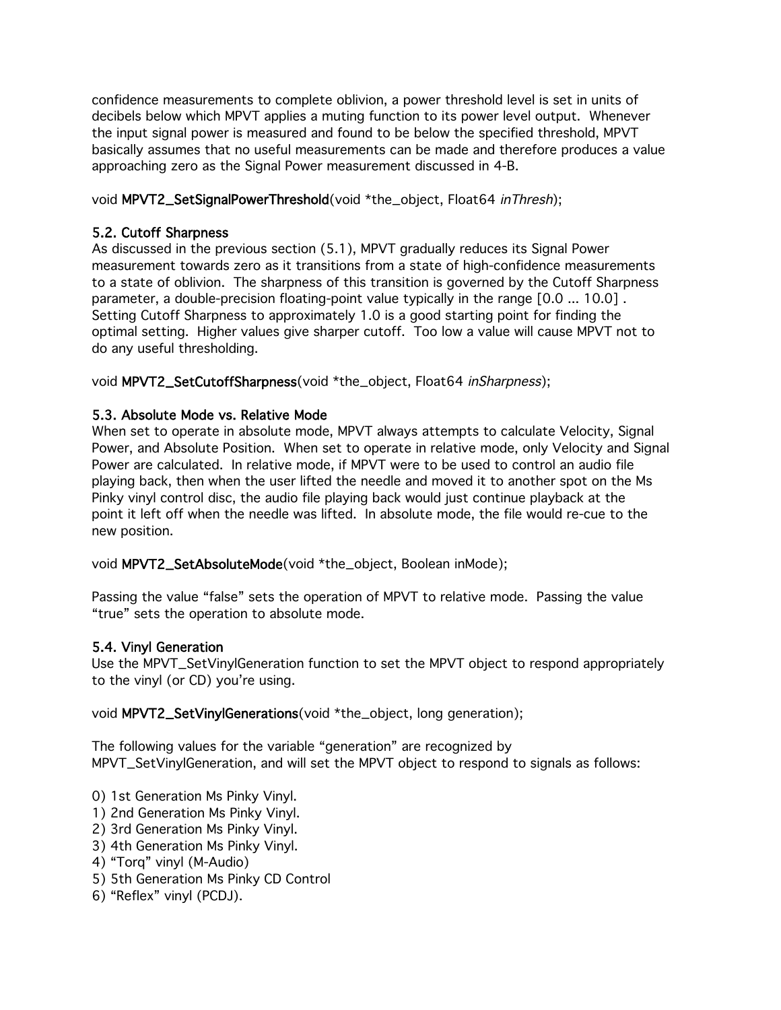confidence measurements to complete oblivion, a power threshold level is set in units of decibels below which MPVT applies a muting function to its power level output. Whenever the input signal power is measured and found to be below the specified threshold, MPVT basically assumes that no useful measurements can be made and therefore produces a value approaching zero as the Signal Power measurement discussed in 4-B.

void MPVT2\_SetSignalPowerThreshold(void \*the\_object, Float64 inThresh);

### 5.2. Cutoff Sharpness

As discussed in the previous section (5.1), MPVT gradually reduces its Signal Power measurement towards zero as it transitions from a state of high-confidence measurements to a state of oblivion. The sharpness of this transition is governed by the Cutoff Sharpness parameter, a double-precision floating-point value typically in the range [0.0 ... 10.0] . Setting Cutoff Sharpness to approximately 1.0 is a good starting point for finding the optimal setting. Higher values give sharper cutoff. Too low a value will cause MPVT not to do any useful thresholding.

void MPVT2\_SetCutoffSharpness(void \*the\_object, Float64 inSharpness);

### 5.3. Absolute Mode vs. Relative Mode

When set to operate in absolute mode, MPVT always attempts to calculate Velocity, Signal Power, and Absolute Position. When set to operate in relative mode, only Velocity and Signal Power are calculated. In relative mode, if MPVT were to be used to control an audio file playing back, then when the user lifted the needle and moved it to another spot on the Ms Pinky vinyl control disc, the audio file playing back would just continue playback at the point it left off when the needle was lifted. In absolute mode, the file would re-cue to the new position.

void MPVT2\_SetAbsoluteMode(void \*the\_object, Boolean inMode);

Passing the value "false" sets the operation of MPVT to relative mode. Passing the value "true" sets the operation to absolute mode.

### 5.4. Vinyl Generation

Use the MPVT\_SetVinylGeneration function to set the MPVT object to respond appropriately to the vinyl (or CD) you're using.

void MPVT2\_SetVinylGenerations(void \*the\_object, long generation);

The following values for the variable "generation" are recognized by MPVT\_SetVinylGeneration, and will set the MPVT object to respond to signals as follows:

- 0) 1st Generation Ms Pinky Vinyl.
- 1) 2nd Generation Ms Pinky Vinyl.
- 2) 3rd Generation Ms Pinky Vinyl.
- 3) 4th Generation Ms Pinky Vinyl.
- 4) "Torq" vinyl (M-Audio)
- 5) 5th Generation Ms Pinky CD Control
- 6) "Reflex" vinyl (PCDJ).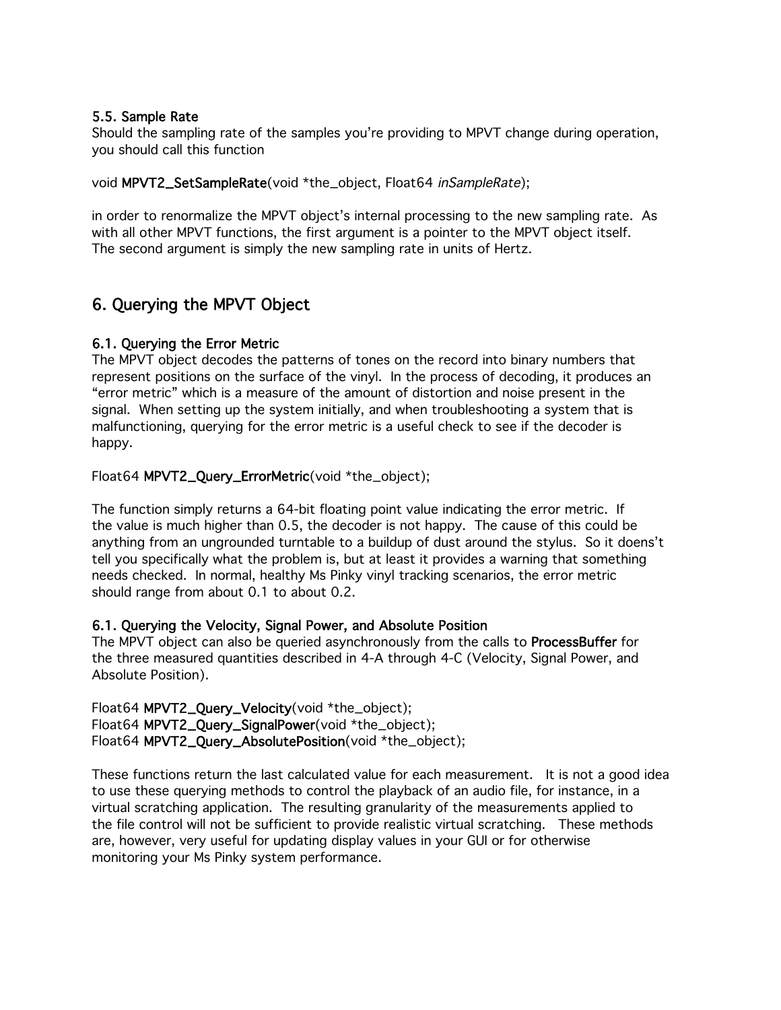#### 5.5. Sample Rate

Should the sampling rate of the samples you're providing to MPVT change during operation, you should call this function

void MPVT2\_SetSampleRate(void \*the\_object, Float64 inSampleRate);

in order to renormalize the MPVT object's internal processing to the new sampling rate. As with all other MPVT functions, the first argument is a pointer to the MPVT object itself. The second argument is simply the new sampling rate in units of Hertz.

# 6. Querying the MPVT Object

### 6.1. Querying the Error Metric

The MPVT object decodes the patterns of tones on the record into binary numbers that represent positions on the surface of the vinyl. In the process of decoding, it produces an "error metric" which is a measure of the amount of distortion and noise present in the signal. When setting up the system initially, and when troubleshooting a system that is malfunctioning, querying for the error metric is a useful check to see if the decoder is happy.

Float64 MPVT2\_Query\_ErrorMetric(void \*the\_object);

The function simply returns a 64-bit floating point value indicating the error metric. If the value is much higher than 0.5, the decoder is not happy. The cause of this could be anything from an ungrounded turntable to a buildup of dust around the stylus. So it doens't tell you specifically what the problem is, but at least it provides a warning that something needs checked. In normal, healthy Ms Pinky vinyl tracking scenarios, the error metric should range from about 0.1 to about 0.2.

### 6.1. Querying the Velocity, Signal Power, and Absolute Position

The MPVT object can also be queried asynchronously from the calls to **ProcessBuffer** for the three measured quantities described in 4-A through 4-C (Velocity, Signal Power, and Absolute Position).

Float64 MPVT2\_Query\_Velocity(void \*the\_object); Float64 MPVT2\_Query\_SignalPower(void \*the\_object); Float64 MPVT2\_Query\_AbsolutePosition(void \*the\_object);

These functions return the last calculated value for each measurement. It is not a good idea to use these querying methods to control the playback of an audio file, for instance, in a virtual scratching application. The resulting granularity of the measurements applied to the file control will not be sufficient to provide realistic virtual scratching. These methods are, however, very useful for updating display values in your GUI or for otherwise monitoring your Ms Pinky system performance.